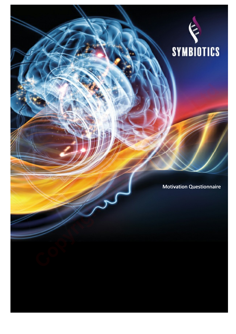

Motivation Questionnaire **Copyright Copyright Copyright Copyright Copyright Copyright Copyright Copyright Copyright Copyright Copyright Copyright Copyright Copyright Copyright Copyright Copyright Copyright Copyright Copyright Copyright Copyright C** 

**Sample**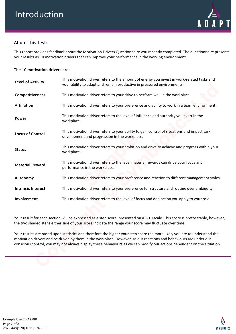

# About this test:

This report provides feedback about the Motivation Drivers Questionnaire you recently completed. The questionnaire presents your results as 10 motivation drivers that can improve your performance in the working environment.

## The 10 motivation drivers are:

| Level of Activity         | This motivation driver refers to the amount of energy you invest in work-related tasks and<br>your ability to adapt and remain productive in pressured environments.                                                                                                                                                                                                      |
|---------------------------|---------------------------------------------------------------------------------------------------------------------------------------------------------------------------------------------------------------------------------------------------------------------------------------------------------------------------------------------------------------------------|
| Competitiveness           | This motivation driver refers to your drive to perform well in the workplace.                                                                                                                                                                                                                                                                                             |
| <b>Affiliation</b>        | This motivation driver refers to your preference and ability to work in a team environment.                                                                                                                                                                                                                                                                               |
| Power                     | This motivation driver refers to the level of influence and authority you exert in the<br>workplace.                                                                                                                                                                                                                                                                      |
| <b>Locus of Control</b>   | This motivation driver refers to your ability to gain control of situations and impact task<br>development and progression in the workplace.                                                                                                                                                                                                                              |
| <b>Status</b>             | This motivation driver refers to your ambition and drive to achieve and progress within your<br>workplace.                                                                                                                                                                                                                                                                |
| <b>Material Reward</b>    | This motivation driver refers to the level material rewards can drive your focus and<br>performance in the workplace.                                                                                                                                                                                                                                                     |
| Autonomy                  | This motivation driver refers to your preference and reaction to different management styles.                                                                                                                                                                                                                                                                             |
| <b>Intrinsic Interest</b> | This motivation driver refers to your preference for structure and routine over ambiguity.                                                                                                                                                                                                                                                                                |
| Involvement               | This motivation driver refers to the level of focus and dedication you apply to your role.                                                                                                                                                                                                                                                                                |
|                           |                                                                                                                                                                                                                                                                                                                                                                           |
|                           | Your result for each section will be expressed as a sten score, presented on a 1-10 scale. This score is pretty stable, however,<br>the two shaded stens either side of your score indicate the range your score may fluctuate over time.                                                                                                                                 |
|                           | Your results are based upon statistics and therefore the higher your sten score the more likely you are to understand the<br>motivation drivers and be driven by them in the workplace. However, as our reactions and behaviours are under our<br>conscious control, you may not always display these behaviours as we can modify our actions dependent on the situation. |
|                           |                                                                                                                                                                                                                                                                                                                                                                           |

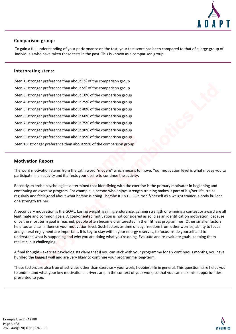

# Comparison group:

To gain a full understanding of your performance on the test, your test score has been compared to that of a large group of individuals who have taken these tests in the past. This is known as a comparison group.

## Interpreting stens:

Sten 1: stronger preference than about 1% of the comparison group Sten 2: stronger preference than about 5% of the comparison group Sten 3: stronger preference than about 10% of the comparison group Sten 4: stronger preference than about 25% of the comparison group Sten 5: stronger preference than about 40% of the comparison group Sten 6: stronger preference than about 60% of the comparison group Sten 7: stronger preference than about 75% of the comparison group Sten 8: stronger preference than about 90% of the comparison group Sten 9: stronger preference than about 95% of the comparison group Sten 10: stronger preference than about 99% of the comparison group 95% of the comparison group<br>
t 99% of the comparison group<br>
in word "movere" which means to m<br>
ur desire to continue the activity.<br>
ined that identifying with the exercise **Compare preference than about 5% of the comparison group<br>
onger preference than about 10% of the comparison group<br>
onger preference than about 42% of the comparison group<br>
onger preference than about 50% of the comparison** 

## Motivation Report

The word motivation stems from the Latin word "movere" which means to move. Your motivation level is what moves you to participate in an activity and it affects your desire to continue the activity.

Recently, exercise psychologists determined that identifying with the exercise is the primary motivator in beginning and continuing an exercise program. For example, a person who enjoys strength training makes it part of his/her life, trains regularly and feels good about what he/she is doing - he/she IDENTIFIES himself/herself as a weight trainer, a body builder or a strength trainer.

A secondary motivation is the GOAL. Losing weight, gaining endurance, gaining strength or winning a contest or award are all legitimate and common goals. A goal-oriented motivation is not considered as solid as an identification motivation, because once the short term goal is reached, people often become disinterested in their fitness programmes. Other smaller factors help too and can influence your motivation level. Such factors as time of day, freedom from other worries, ability to focus and general enjoyment are important. It is key to stay within your energy reserves, to focus inside yourself and to understand what is happening and why you are doing what you're doing. Evaluate and re-evaluate goals, keeping them realistic, but challenging.

A final thought - exercise psychologists claim that if you can stick with your programme for six continuous months, you have hurdled the biggest wall and are very likely to continue your programme long-term.

These factors are also true of activities other than exercise – your work, hobbies, life in general. This questionnaire helps you to understand what your key motivational drivers are, in the context of your work, so that you can maximise opportunities presented to you.

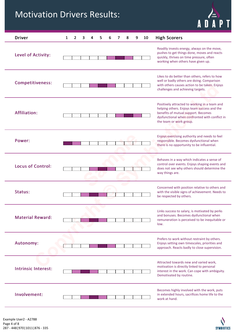# Motivation Drivers Results:



| <b>Driver</b>              | <b>High Scorers</b><br>1<br>10<br>2<br>8<br>9                                                                                                                                                                    |
|----------------------------|------------------------------------------------------------------------------------------------------------------------------------------------------------------------------------------------------------------|
| Level of Activity:         | Readily invests energy, always on the move,<br>pushes to get things done, moves and reacts<br>quickly, thrives on time pressure, often<br>working when others have given up.                                     |
| <b>Competitiveness:</b>    | Likes to do better than others, refers to how<br>well or badly others are doing. Comparison<br>with others causes action to be taken. Enjoys<br>challenges and achieving targets.                                |
| <b>Affiliation:</b>        | Positively attracted to working in a team and<br>helping others. Enjoys team success and the<br>benefits of mutual support. Becomes<br>dysfunctional when confronted with conflict in<br>the team or work group. |
| Power:                     | Enjoys exercising authority and needs to feel<br>responsible. Becomes dysfunctional when<br>there is no opportunity to be influential.                                                                           |
| <b>Locus of Control:</b>   | Behaves in a way which indicates a sense of<br>control over events. Enjoys shaping events and<br>does not see why others should determine the<br>way things are.                                                 |
| Status:                    | Concerned with position relative to others and<br>with the visible signs of achievement. Needs to<br>be respected by others.                                                                                     |
| <b>Material Reward:</b>    | Links success to salary, is motivated by perks<br>and bonuses. Becomes dysfunctional when<br>remuneration is perceived to be inequitable or<br>low.                                                              |
| <b>Autonomy:</b>           | Prefers to work without restraint by others.<br>Enjoys setting own timescales, priorities and<br>approach. Reacts badly to close supervision.                                                                    |
| <b>Intrinsic Interest:</b> | Attracted towards new and varied work,<br>motivation is directly linked to personal<br>interest in the work. Can cope with ambiguity.<br>Demotivated by routine.                                                 |
| Involvement:               | Becomes highly involved with the work, puts<br>in extended hours, sacrifices home life to the<br>work at hand.                                                                                                   |

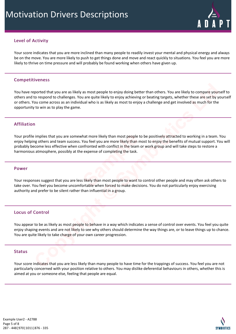

# Level of Activity

Your score indicates that you are more inclined than many people to readily invest your mental and physical energy and always be on the move. You are more likely to push to get things done and move and react quickly to situations. You feel you are more likely to thrive on time pressure and will probably be found working when others have given up.

### Competitiveness

You have reported that you are as likely as most people to enjoy doing better than others. You are likely to compare yourself to others and to respond to challenges. You are quite likely to enjoy achieving or beating targets, whether these are set by yourself or others. You come across as an individual who is as likely as most to enjoy a challenge and get involved as much for the opportunity to win as to play the game. parted thet you are as likely as most people to enjoy doing better than others. You are likely to compare your<br>to respond to challenges. You are quite likely to enjoy achieving or beating targets, whether these are set by<br>

## Affiliation

Your profile implies that you are somewhat more likely than most people to be positively attracted to working in a team. You enjoy helping others and team success. You feel you are more likely than most to enjoy the benefits of mutual support. You will probably become less effective when confronted with conflict in the team or work group and will take steps to restore a harmonious atmosphere, possibly at the expense of completing the task. hat more likely than most people to **K**<br>You feel you are more likely than most<br>infronted with conflict in the team or<br>expense of completing the task.<br>**SAMPLE SERVER SERVER SERVER SERVER SERVER SERVER SERVER SERVER SERVER S** 

#### Power

Your responses suggest that you are less likely than most people to want to control other people and may often ask others to take over. You feel you become uncomfortable when forced to make decisions. You do not particularly enjoy exercising authority and prefer to be silent rather than influential in a group.

# Locus of Control

You appear to be as likely as most people to behave in a way which indicates a sense of control over events. You feel you quite enjoy shaping events and are not likely to see why others should determine the way things are, or to leave things up to chance. You are quite likely to take charge of your own career progression.

#### Status

Your score indicates that you are less likely than many people to have time for the trappings of success. You feel you are not particularly concerned with your position relative to others. You may dislike deferential behaviours in others, whether this is aimed at you or someone else, feeling that people are equal.

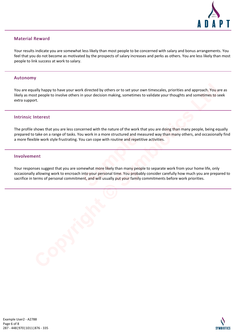

# Material Reward

Your results indicate you are somewhat less likely than most people to be concerned with salary and bonus arrangements. You feel that you do not become as motivated by the prospects of salary increases and perks as others. You are less likely than most people to link success at work to salary.

#### Autonomy

You are equally happy to have your work directed by others or to set your own timescales, priorities and approach. You are as likely as most people to involve others in your decision making, sometimes to validate your thoughts and sometimes to seek extra support. **Copyright Consecution** work directed by others or to set your own timescales, priorities and approach. You as the pople to involve others in your decision making, sometimes to validate your thoughts and sometimes to so th

## Intrinsic Interest

The profile shows that you are less concerned with the nature of the work that you are doing than many people, being equally prepared to take on a range of tasks. You work in a more structured and measured way than many others, and occasionally find a more flexible work style frustrating. You can cope with routine and repetitive activities.

#### Involvement

Your responses suggest that you are somewhat more likely than many people to separate work from your home life, only occasionally allowing work to encroach into your personal time. You probably consider carefully how much you are prepared to sacrifice in terms of personal commitment, and will usually put your family commitments before work priorities. **Sample 19 and the Structured and mean one of the Structure and repetitively**<br> **Sample 20 and 19 and 19 and 19 and 19 and 19 and 19 and 19 and 19 and 19 and 19 and 19 and 19 and 19 and 19 and 19 and 19 and 19 and 19 and 19** 

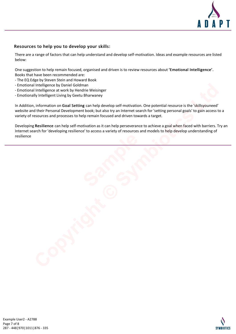

# Resources to help you to develop your skills:

There are a range of factors that can help understand and develop self-motivation. Ideas and example resources are listed below:

One suggestion to help remain focused, organised and driven is to review resources about 'Emotional Intelligence'. Books that have been recommended are:

- The EQ Edge by Steven Stein and Howard Book
- Emotional Intelligence by Daniel Goldman
- Emotional Intelligence at work by Hendrie Weisinger
- Emotionally Intelligent Living by Geetu Bharwaney

In Addition, information on Goal Setting can help develop self-motivation. One potential resource is the 'skillsyouneed' website and their Personal Development book; but also try an Internet search for 'setting personal goals' to gain access to a variety of resources and processes to help remain focused and driven towards a target. Intelligence by Daniel Goldman<br>
Intelligence at work by Hendrie Weisinger<br>
Ily Intelligence at work by Hendrie Weisinger<br>
Ily Intelligence this proposed Bharwaney<br>
Interligence Library and Astronal Development book; but al

Developing Resilience can help self-motivation as it can help perseverance to achieve a goal when faced with barriers. Try an Internet search for 'developing resilience' to access a variety of resources and models to help develop understanding of resilience **Sample**